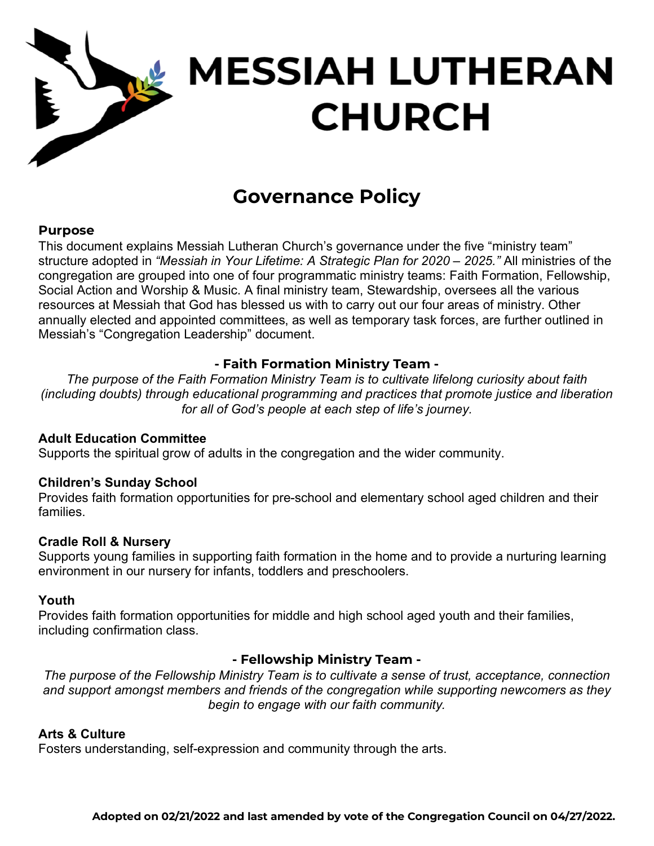

# **MESSIAH LUTHERAN CHURCH**

# **Governance Policy**

#### **Purpose**

This document explains Messiah Lutheran Church's governance under the five "ministry team" structure adopted in *"Messiah in Your Lifetime: A Strategic Plan for 2020 – 2025."* All ministries of the congregation are grouped into one of four programmatic ministry teams: Faith Formation, Fellowship, Social Action and Worship & Music. A final ministry team, Stewardship, oversees all the various resources at Messiah that God has blessed us with to carry out our four areas of ministry. Other annually elected and appointed committees, as well as temporary task forces, are further outlined in Messiah's "Congregation Leadership" document.

# **- Faith Formation Ministry Team -**

*The purpose of the Faith Formation Ministry Team is to cultivate lifelong curiosity about faith (including doubts) through educational programming and practices that promote justice and liberation for all of God's people at each step of life's journey.*

#### **Adult Education Committee**

Supports the spiritual grow of adults in the congregation and the wider community.

#### **Children's Sunday School**

Provides faith formation opportunities for pre-school and elementary school aged children and their families.

#### **Cradle Roll & Nursery**

Supports young families in supporting faith formation in the home and to provide a nurturing learning environment in our nursery for infants, toddlers and preschoolers.

#### **Youth**

Provides faith formation opportunities for middle and high school aged youth and their families, including confirmation class.

# **- Fellowship Ministry Team -**

*The purpose of the Fellowship Ministry Team is to cultivate a sense of trust, acceptance, connection and support amongst members and friends of the congregation while supporting newcomers as they begin to engage with our faith community.*

# **Arts & Culture**

Fosters understanding, self-expression and community through the arts.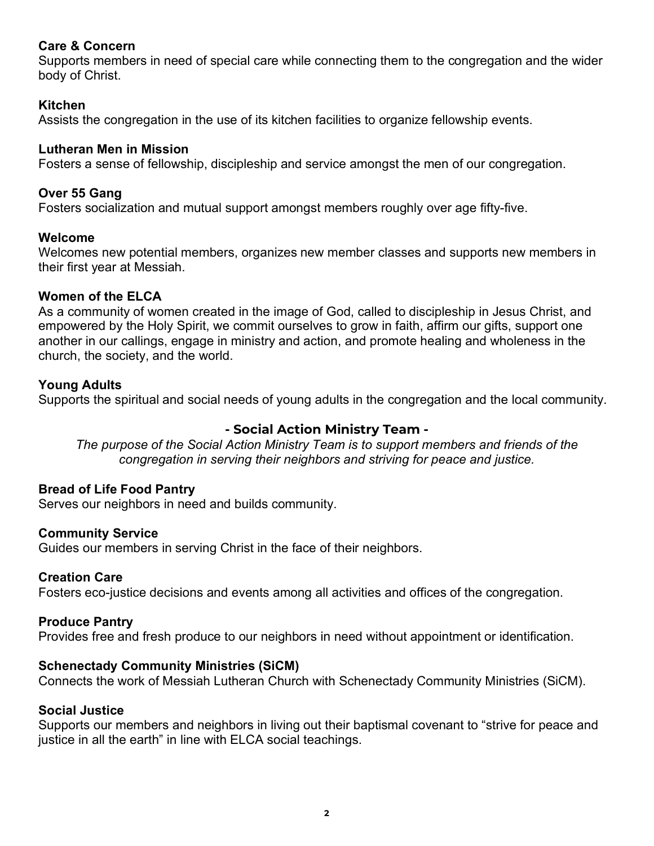# **Care & Concern**

Supports members in need of special care while connecting them to the congregation and the wider body of Christ.

#### **Kitchen**

Assists the congregation in the use of its kitchen facilities to organize fellowship events.

### **Lutheran Men in Mission**

Fosters a sense of fellowship, discipleship and service amongst the men of our congregation.

# **Over 55 Gang**

Fosters socialization and mutual support amongst members roughly over age fifty-five.

### **Welcome**

Welcomes new potential members, organizes new member classes and supports new members in their first year at Messiah.

### **Women of the ELCA**

As a community of women created in the image of God, called to discipleship in Jesus Christ, and empowered by the Holy Spirit, we commit ourselves to grow in faith, affirm our gifts, support one another in our callings, engage in ministry and action, and promote healing and wholeness in the church, the society, and the world.

### **Young Adults**

Supports the spiritual and social needs of young adults in the congregation and the local community.

# **- Social Action Ministry Team -**

*The purpose of the Social Action Ministry Team is to support members and friends of the congregation in serving their neighbors and striving for peace and justice.*

# **Bread of Life Food Pantry**

Serves our neighbors in need and builds community.

#### **Community Service**

Guides our members in serving Christ in the face of their neighbors.

#### **Creation Care**

Fosters eco-justice decisions and events among all activities and offices of the congregation.

#### **Produce Pantry**

Provides free and fresh produce to our neighbors in need without appointment or identification.

#### **Schenectady Community Ministries (SiCM)**

Connects the work of Messiah Lutheran Church with Schenectady Community Ministries (SiCM).

#### **Social Justice**

Supports our members and neighbors in living out their baptismal covenant to "strive for peace and justice in all the earth" in line with ELCA social teachings.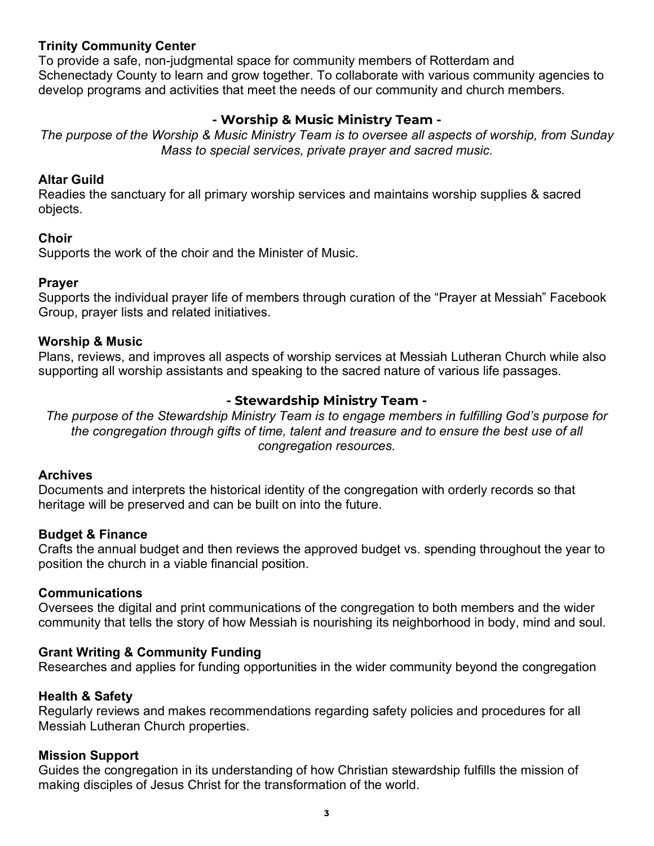### **Trinity Community Center**

To provide a safe, non-judgmental space for community members of Rotterdam and Schenectady County to learn and grow together. To collaborate with various community agencies to develop programs and activities that meet the needs of our community and church members.

# **- Worship & Music Ministry Team -**

*The purpose of the Worship & Music Ministry Team is to oversee all aspects of worship, from Sunday Mass to special services, private prayer and sacred music.*

#### **Altar Guild**

Readies the sanctuary for all primary worship services and maintains worship supplies & sacred objects.

#### **Choir**

Supports the work of the choir and the Minister of Music.

#### **Prayer**

Supports the individual prayer life of members through curation of the "Prayer at Messiah" Facebook Group, prayer lists and related initiatives.

#### **Worship & Music**

Plans, reviews, and improves all aspects of worship services at Messiah Lutheran Church while also supporting all worship assistants and speaking to the sacred nature of various life passages.

# **- Stewardship Ministry Team -**

*The purpose of the Stewardship Ministry Team is to engage members in fulfilling God's purpose for the congregation through gifts of time, talent and treasure and to ensure the best use of all congregation resources.*

#### **Archives**

Documents and interprets the historical identity of the congregation with orderly records so that heritage will be preserved and can be built on into the future.

#### **Budget & Finance**

Crafts the annual budget and then reviews the approved budget vs. spending throughout the year to position the church in a viable financial position.

#### **Communications**

Oversees the digital and print communications of the congregation to both members and the wider community that tells the story of how Messiah is nourishing its neighborhood in body, mind and soul.

#### **Grant Writing & Community Funding**

Researches and applies for funding opportunities in the wider community beyond the congregation

#### **Health & Safety**

Regularly reviews and makes recommendations regarding safety policies and procedures for all Messiah Lutheran Church properties.

#### **Mission Support**

Guides the congregation in its understanding of how Christian stewardship fulfills the mission of making disciples of Jesus Christ for the transformation of the world.